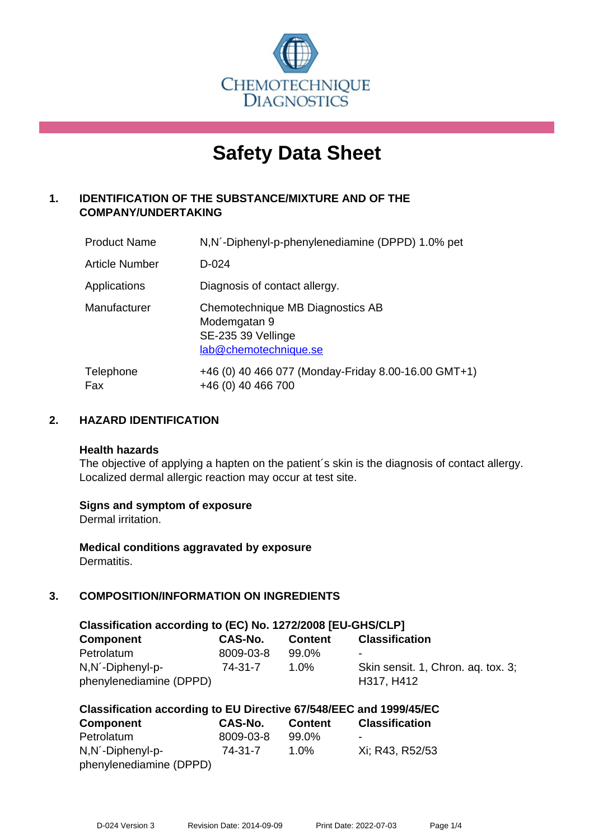

# **Safety Data Sheet**

# **1. IDENTIFICATION OF THE SUBSTANCE/MIXTURE AND OF THE COMPANY/UNDERTAKING**

| <b>Product Name</b>   | N, N <sup>'</sup> -Diphenyl-p-phenylenediamine (DPPD) 1.0% pet                                  |
|-----------------------|-------------------------------------------------------------------------------------------------|
| <b>Article Number</b> | $D - 024$                                                                                       |
| Applications          | Diagnosis of contact allergy.                                                                   |
| Manufacturer          | Chemotechnique MB Diagnostics AB<br>Modemgatan 9<br>SE-235 39 Vellinge<br>lab@chemotechnique.se |
| Telephone<br>Fax      | +46 (0) 40 466 077 (Monday-Friday 8.00-16.00 GMT+1)<br>+46 (0) 40 466 700                       |

## **2. HAZARD IDENTIFICATION**

#### **Health hazards**

The objective of applying a hapten on the patient's skin is the diagnosis of contact allergy. Localized dermal allergic reaction may occur at test site.

## **Signs and symptom of exposure**

Dermal irritation.

**Medical conditions aggravated by exposure** Dermatitis.

# **3. COMPOSITION/INFORMATION ON INGREDIENTS**

| Classification according to (EC) No. 1272/2008 [EU-GHS/CLP] |           |                |                                    |  |  |  |
|-------------------------------------------------------------|-----------|----------------|------------------------------------|--|--|--|
| <b>Component</b>                                            | CAS-No.   | <b>Content</b> | <b>Classification</b>              |  |  |  |
| Petrolatum                                                  | 8009-03-8 | 99.0%          |                                    |  |  |  |
| N,N <sup>-</sup> Diphenyl-p-                                | 74-31-7   | $1.0\%$        | Skin sensit. 1, Chron. ag. tox. 3; |  |  |  |
| phenylenediamine (DPPD)                                     |           |                | H317, H412                         |  |  |  |

| Classification according to EU Directive 67/548/EEC and 1999/45/EC |           |                |                       |  |  |  |
|--------------------------------------------------------------------|-----------|----------------|-----------------------|--|--|--|
| Component                                                          | CAS-No.   | <b>Content</b> | <b>Classification</b> |  |  |  |
| Petrolatum                                                         | 8009-03-8 | 99.0%          | -                     |  |  |  |
| N, N´-Diphenyl-p-                                                  | 74-31-7   | $1.0\%$        | Xi: R43, R52/53       |  |  |  |
| phenylenediamine (DPPD)                                            |           |                |                       |  |  |  |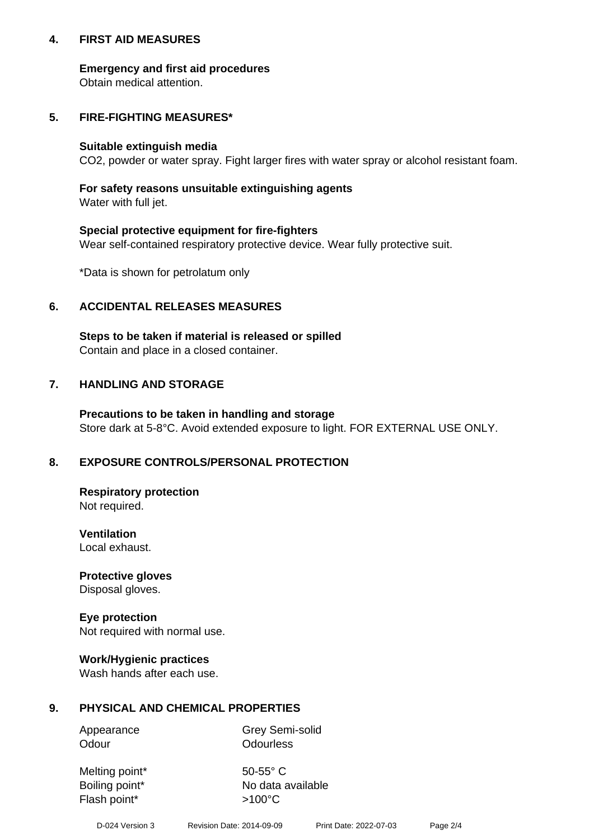## **4. FIRST AID MEASURES**

## **Emergency and first aid procedures**

Obtain medical attention.

# **5. FIRE-FIGHTING MEASURES\***

#### **Suitable extinguish media**

CO2, powder or water spray. Fight larger fires with water spray or alcohol resistant foam.

# **For safety reasons unsuitable extinguishing agents**

Water with full jet.

## **Special protective equipment for fire-fighters**

Wear self-contained respiratory protective device. Wear fully protective suit.

\*Data is shown for petrolatum only

## **6. ACCIDENTAL RELEASES MEASURES**

**Steps to be taken if material is released or spilled** Contain and place in a closed container.

# **7. HANDLING AND STORAGE**

**Precautions to be taken in handling and storage** Store dark at 5-8°C. Avoid extended exposure to light. FOR EXTERNAL USE ONLY.

# **8. EXPOSURE CONTROLS/PERSONAL PROTECTION**

**Respiratory protection** Not required.

**Ventilation** Local exhaust.

**Protective gloves** Disposal gloves.

#### **Eye protection** Not required with normal use.

## **Work/Hygienic practices**

Wash hands after each use.

## **9. PHYSICAL AND CHEMICAL PROPERTIES**

Odour **Odourless** 

Appearance Grey Semi-solid

Melting point\* 50-55° C Flash point\*  $>100^{\circ}$ C

Boiling point\* No data available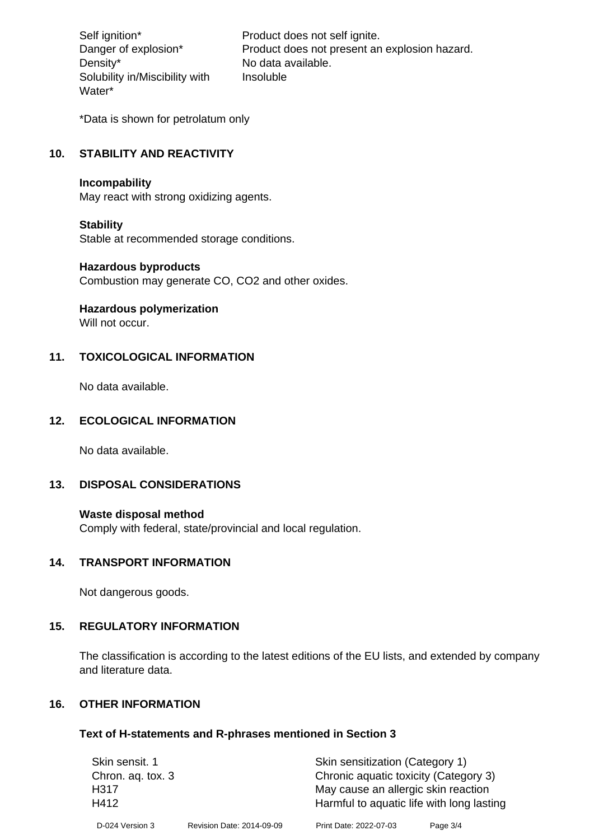Density\* No data available. Solubility in/Miscibility with Water\*

Self ignition\* Product does not self ignite. Danger of explosion\* Product does not present an explosion hazard. Insoluble

\*Data is shown for petrolatum only

# **10. STABILITY AND REACTIVITY**

#### **Incompability**

May react with strong oxidizing agents.

#### **Stability**

Stable at recommended storage conditions.

#### **Hazardous byproducts**

Combustion may generate CO, CO2 and other oxides.

**Hazardous polymerization**

Will not occur.

## **11. TOXICOLOGICAL INFORMATION**

No data available.

## **12. ECOLOGICAL INFORMATION**

No data available.

## **13. DISPOSAL CONSIDERATIONS**

#### **Waste disposal method**

Comply with federal, state/provincial and local regulation.

#### **14. TRANSPORT INFORMATION**

Not dangerous goods.

## **15. REGULATORY INFORMATION**

The classification is according to the latest editions of the EU lists, and extended by company and literature data.

#### **16. OTHER INFORMATION**

#### **Text of H-statements and R-phrases mentioned in Section 3**

| Skin sensit. 1    |                           | Skin sensitization (Category 1)           |          |  |
|-------------------|---------------------------|-------------------------------------------|----------|--|
| Chron. aq. tox. 3 |                           | Chronic aquatic toxicity (Category 3)     |          |  |
| H317              |                           | May cause an allergic skin reaction       |          |  |
| H412              |                           | Harmful to aquatic life with long lasting |          |  |
| D-024 Version 3   | Revision Date: 2014-09-09 | Print Date: 2022-07-03                    | Page 3/4 |  |